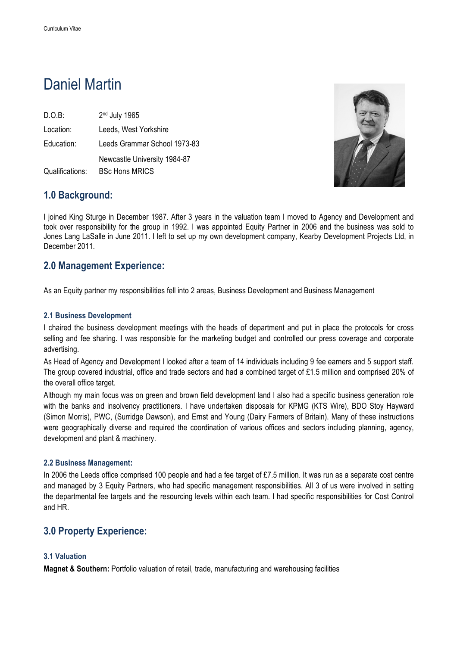# Daniel Martin

D.O.B: 2nd July 1965 Location: Leeds, West Yorkshire Education: Leeds Grammar School 1973-83 Newcastle University 1984-87 Qualifications: BSc Hons MRICS



# **1.0 Background:**

I joined King Sturge in December 1987. After 3 years in the valuation team I moved to Agency and Development and took over responsibility for the group in 1992. I was appointed Equity Partner in 2006 and the business was sold to Jones Lang LaSalle in June 2011. I left to set up my own development company, Kearby Development Projects Ltd, in December 2011.

# **2.0 Management Experience:**

As an Equity partner my responsibilities fell into 2 areas, Business Development and Business Management

### **2.1 Business Development**

I chaired the business development meetings with the heads of department and put in place the protocols for cross selling and fee sharing. I was responsible for the marketing budget and controlled our press coverage and corporate advertising.

As Head of Agency and Development I looked after a team of 14 individuals including 9 fee earners and 5 support staff. The group covered industrial, office and trade sectors and had a combined target of £1.5 million and comprised 20% of the overall office target.

Although my main focus was on green and brown field development land I also had a specific business generation role with the banks and insolvency practitioners. I have undertaken disposals for KPMG (KTS Wire), BDO Stoy Hayward (Simon Morris), PWC, (Surridge Dawson), and Ernst and Young (Dairy Farmers of Britain). Many of these instructions were geographically diverse and required the coordination of various offices and sectors including planning, agency, development and plant & machinery.

#### **2.2 Business Management:**

In 2006 the Leeds office comprised 100 people and had a fee target of £7.5 million. It was run as a separate cost centre and managed by 3 Equity Partners, who had specific management responsibilities. All 3 of us were involved in setting the departmental fee targets and the resourcing levels within each team. I had specific responsibilities for Cost Control and HR.

# **3.0 Property Experience:**

## **3.1 Valuation**

**Magnet & Southern:** Portfolio valuation of retail, trade, manufacturing and warehousing facilities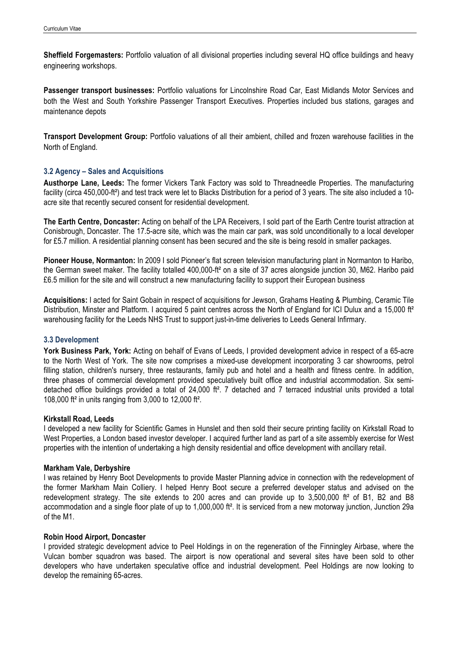**Sheffield Forgemasters:** Portfolio valuation of all divisional properties including several HQ office buildings and heavy engineering workshops.

**Passenger transport businesses:** Portfolio valuations for Lincolnshire Road Car, East Midlands Motor Services and both the West and South Yorkshire Passenger Transport Executives. Properties included bus stations, garages and maintenance depots

**Transport Development Group:** Portfolio valuations of all their ambient, chilled and frozen warehouse facilities in the North of England.

#### **3.2 Agency – Sales and Acquisitions**

**Austhorpe Lane, Leeds:** The former Vickers Tank Factory was sold to Threadneedle Properties. The manufacturing facility (circa 450,000-ft²) and test track were let to Blacks Distribution for a period of 3 years. The site also included a 10 acre site that recently secured consent for residential development.

**The Earth Centre, Doncaster:** Acting on behalf of the LPA Receivers, I sold part of the Earth Centre tourist attraction at Conisbrough, Doncaster. The 17.5-acre site, which was the main car park, was sold unconditionally to a local developer for £5.7 million. A residential planning consent has been secured and the site is being resold in smaller packages.

**Pioneer House, Normanton:** In 2009 I sold Pioneer's flat screen television manufacturing plant in Normanton to Haribo, the German sweet maker. The facility totalled 400,000-ft<sup>2</sup> on a site of 37 acres alongside junction 30, M62. Haribo paid £6.5 million for the site and will construct a new manufacturing facility to support their European business

**Acquisitions:** I acted for Saint Gobain in respect of acquisitions for Jewson, Grahams Heating & Plumbing, Ceramic Tile Distribution, Minster and Platform. I acquired 5 paint centres across the North of England for ICI Dulux and a 15,000 ft<sup>2</sup> warehousing facility for the Leeds NHS Trust to support just-in-time deliveries to Leeds General Infirmary.

#### **3.3 Development**

**York Business Park, York:** Acting on behalf of Evans of Leeds, I provided development advice in respect of a 65-acre to the North West of York. The site now comprises a mixed-use development incorporating 3 car showrooms, petrol filling station, children's nursery, three restaurants, family pub and hotel and a health and fitness centre. In addition, three phases of commercial development provided speculatively built office and industrial accommodation. Six semidetached office buildings provided a total of 24,000 ft². 7 detached and 7 terraced industrial units provided a total 108,000 ft² in units ranging from 3,000 to 12,000 ft².

#### **Kirkstall Road, Leeds**

I developed a new facility for Scientific Games in Hunslet and then sold their secure printing facility on Kirkstall Road to West Properties, a London based investor developer. I acquired further land as part of a site assembly exercise for West properties with the intention of undertaking a high density residential and office development with ancillary retail.

#### **Markham Vale, Derbyshire**

I was retained by Henry Boot Developments to provide Master Planning advice in connection with the redevelopment of the former Markham Main Colliery. I helped Henry Boot secure a preferred developer status and advised on the redevelopment strategy. The site extends to 200 acres and can provide up to 3,500,000 ft² of B1, B2 and B8 accommodation and a single floor plate of up to 1,000,000 ft<sup>2</sup>. It is serviced from a new motorway junction, Junction 29a of the M1.

#### **Robin Hood Airport, Doncaster**

I provided strategic development advice to Peel Holdings in on the regeneration of the Finningley Airbase, where the Vulcan bomber squadron was based. The airport is now operational and several sites have been sold to other developers who have undertaken speculative office and industrial development. Peel Holdings are now looking to develop the remaining 65-acres.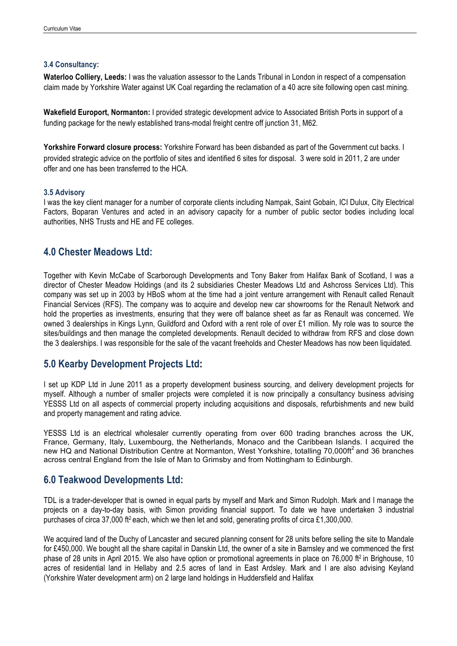#### **3.4 Consultancy:**

**Waterloo Colliery, Leeds:** I was the valuation assessor to the Lands Tribunal in London in respect of a compensation claim made by Yorkshire Water against UK Coal regarding the reclamation of a 40 acre site following open cast mining.

**Wakefield Europort, Normanton:** I provided strategic development advice to Associated British Ports in support of a funding package for the newly established trans-modal freight centre off junction 31, M62.

**Yorkshire Forward closure process:** Yorkshire Forward has been disbanded as part of the Government cut backs. I provided strategic advice on the portfolio of sites and identified 6 sites for disposal. 3 were sold in 2011, 2 are under offer and one has been transferred to the HCA.

#### **3.5 Advisory**

I was the key client manager for a number of corporate clients including Nampak, Saint Gobain, ICI Dulux, City Electrical Factors, Boparan Ventures and acted in an advisory capacity for a number of public sector bodies including local authorities, NHS Trusts and HE and FE colleges.

## **4.0 Chester Meadows Ltd:**

Together with Kevin McCabe of Scarborough Developments and Tony Baker from Halifax Bank of Scotland, I was a director of Chester Meadow Holdings (and its 2 subsidiaries Chester Meadows Ltd and Ashcross Services Ltd). This company was set up in 2003 by HBoS whom at the time had a joint venture arrangement with Renault called Renault Financial Services (RFS). The company was to acquire and develop new car showrooms for the Renault Network and hold the properties as investments, ensuring that they were off balance sheet as far as Renault was concerned. We owned 3 dealerships in Kings Lynn, Guildford and Oxford with a rent role of over £1 million. My role was to source the sites/buildings and then manage the completed developments. Renault decided to withdraw from RFS and close down the 3 dealerships. I was responsible for the sale of the vacant freeholds and Chester Meadows has now been liquidated.

## **5.0 Kearby Development Projects Ltd:**

I set up KDP Ltd in June 2011 as a property development business sourcing, and delivery development projects for myself. Although a number of smaller projects were completed it is now principally a consultancy business advising YESSS Ltd on all aspects of commercial property including acquisitions and disposals, refurbishments and new build and property management and rating advice.

YESSS Ltd is an electrical wholesaler currently operating from over 600 trading branches across the UK, France, Germany, Italy, Luxembourg, the Netherlands, Monaco and the Caribbean Islands. I acquired the new HQ and National Distribution Centre at Normanton, West Yorkshire, totalling 70,000ft<sup>2</sup> and 36 branches across central England from the Isle of Man to Grimsby and from Nottingham to Edinburgh.

## **6.0 Teakwood Developments Ltd:**

TDL is a trader-developer that is owned in equal parts by myself and Mark and Simon Rudolph. Mark and I manage the projects on a day-to-day basis, with Simon providing financial support. To date we have undertaken 3 industrial purchases of circa 37,000 ft<sup>2</sup> each, which we then let and sold, generating profits of circa £1,300,000.

We acquired land of the Duchy of Lancaster and secured planning consent for 28 units before selling the site to Mandale for £450,000. We bought all the share capital in Danskin Ltd, the owner of a site in Barnsley and we commenced the first phase of 28 units in April 2015. We also have option or promotional agreements in place on 76,000 ft<sup>2</sup> in Brighouse, 10 acres of residential land in Hellaby and 2.5 acres of land in East Ardsley. Mark and I are also advising Keyland (Yorkshire Water development arm) on 2 large land holdings in Huddersfield and Halifax